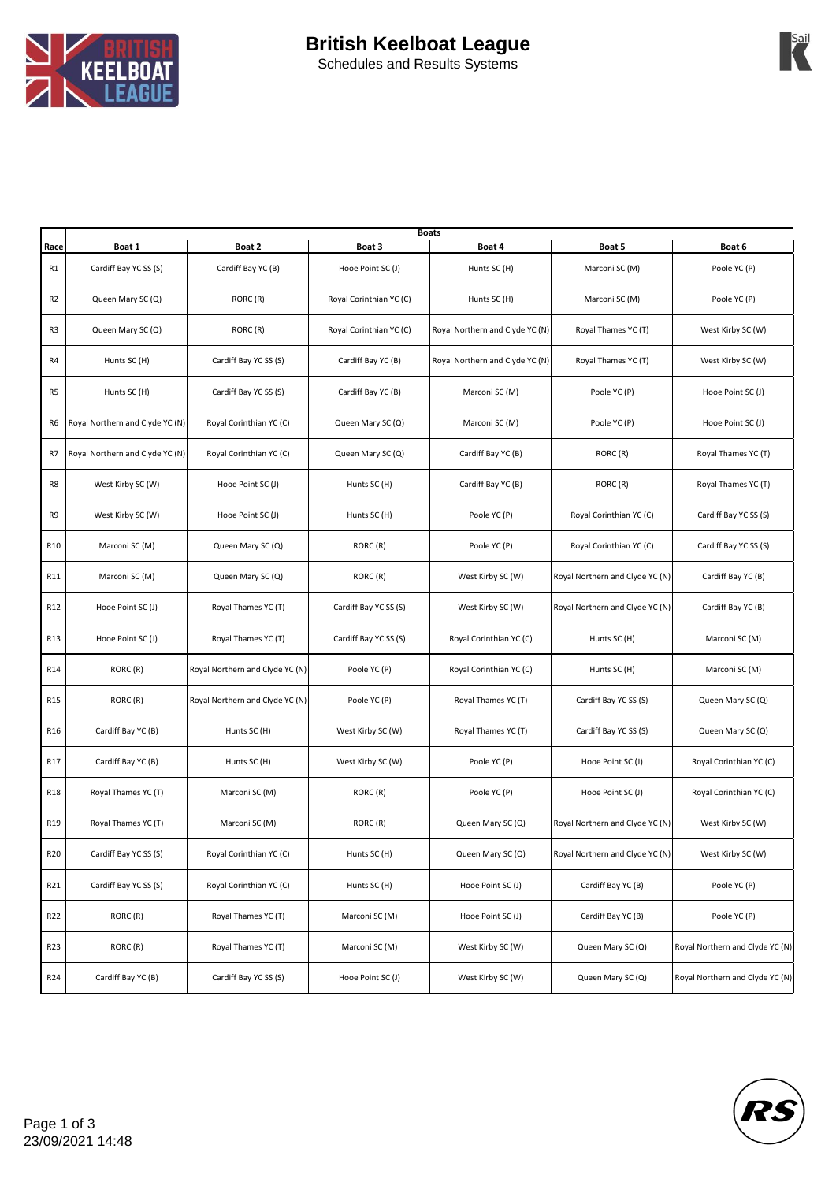

Schedules and Results Systems

| Race            | Boat 1                          | Boat 2                          | <b>Boats</b><br>Boat 3  | Boat 4                          | Boat 5                          | Boat 6                          |
|-----------------|---------------------------------|---------------------------------|-------------------------|---------------------------------|---------------------------------|---------------------------------|
| R1              | Cardiff Bay YC SS (S)           | Cardiff Bay YC (B)              | Hooe Point SC (J)       | Hunts SC (H)                    | Marconi SC (M)                  | Poole YC (P)                    |
| R <sub>2</sub>  | Queen Mary SC (Q)               | RORC (R)                        | Royal Corinthian YC (C) | Hunts SC (H)                    | Marconi SC (M)                  | Poole YC (P)                    |
| R <sub>3</sub>  | Queen Mary SC (Q)               | RORC (R)                        | Royal Corinthian YC (C) | Royal Northern and Clyde YC (N) | Royal Thames YC (T)             | West Kirby SC (W)               |
| R4              | Hunts SC (H)                    | Cardiff Bay YC SS (S)           | Cardiff Bay YC (B)      | Royal Northern and Clyde YC (N) | Royal Thames YC (T)             | West Kirby SC (W)               |
| R5              | Hunts SC (H)                    | Cardiff Bay YC SS (S)           | Cardiff Bay YC (B)      | Marconi SC (M)                  | Poole YC (P)                    | Hooe Point SC (J)               |
| R6              | Royal Northern and Clyde YC (N) | Royal Corinthian YC (C)         | Queen Mary SC (Q)       | Marconi SC (M)                  | Poole YC (P)                    | Hooe Point SC (J)               |
| R7              | Royal Northern and Clyde YC (N) | Royal Corinthian YC (C)         | Queen Mary SC (Q)       | Cardiff Bay YC (B)              | RORC (R)                        | Royal Thames YC (T)             |
| R8              | West Kirby SC (W)               | Hooe Point SC (J)               | Hunts SC (H)            | Cardiff Bay YC (B)              | RORC (R)                        | Royal Thames YC (T)             |
| R9              | West Kirby SC (W)               | Hooe Point SC (J)               | Hunts SC (H)            | Poole YC (P)                    | Royal Corinthian YC (C)         | Cardiff Bay YC SS (S)           |
| R <sub>10</sub> | Marconi SC (M)                  | Queen Mary SC (Q)               | RORC (R)                | Poole YC (P)                    | Royal Corinthian YC (C)         | Cardiff Bay YC SS (S)           |
| R11             | Marconi SC (M)                  | Queen Mary SC (Q)               | RORC (R)                | West Kirby SC (W)               | Royal Northern and Clyde YC (N) | Cardiff Bay YC (B)              |
| R12             | Hooe Point SC (J)               | Royal Thames YC (T)             | Cardiff Bay YC SS (S)   | West Kirby SC (W)               | Royal Northern and Clyde YC (N) | Cardiff Bay YC (B)              |
| R13             | Hooe Point SC (J)               | Royal Thames YC (T)             | Cardiff Bay YC SS (S)   | Royal Corinthian YC (C)         | Hunts SC (H)                    | Marconi SC (M)                  |
| R14             | RORC (R)                        | Royal Northern and Clyde YC (N) | Poole YC (P)            | Royal Corinthian YC (C)         | Hunts SC (H)                    | Marconi SC (M)                  |
| R <sub>15</sub> | RORC(R)                         | Royal Northern and Clyde YC (N) | Poole YC (P)            | Royal Thames YC (T)             | Cardiff Bay YC SS (S)           | Queen Mary SC (Q)               |
| R <sub>16</sub> | Cardiff Bay YC (B)              | Hunts SC (H)                    | West Kirby SC (W)       | Royal Thames YC (T)             | Cardiff Bay YC SS (S)           | Queen Mary SC (Q)               |
| R17             | Cardiff Bay YC (B)              | Hunts SC (H)                    | West Kirby SC (W)       | Poole YC (P)                    | Hooe Point SC (J)               | Royal Corinthian YC (C)         |
| R <sub>18</sub> | Royal Thames YC (T)             | Marconi SC (M)                  | RORC(R)                 | Poole YC (P)                    | Hooe Point SC (J)               | Royal Corinthian YC (C)         |
| R <sub>19</sub> | Royal Thames YC (T)             | Marconi SC (M)                  | RORC(R)                 | Queen Mary SC (Q)               | Royal Northern and Clyde YC (N) | West Kirby SC (W)               |
| R20             | Cardiff Bay YC SS (S)           | Royal Corinthian YC (C)         | Hunts SC (H)            | Queen Mary SC (Q)               | Royal Northern and Clyde YC (N) | West Kirby SC (W)               |
| R21             | Cardiff Bay YC SS (S)           | Royal Corinthian YC (C)         | Hunts SC (H)            | Hooe Point SC (J)               | Cardiff Bay YC (B)              | Poole YC (P)                    |
| R22             | RORC (R)                        | Royal Thames YC (T)             | Marconi SC (M)          | Hooe Point SC (J)               | Cardiff Bay YC (B)              | Poole YC (P)                    |
| R23             | RORC(R)                         | Royal Thames YC (T)             | Marconi SC (M)          | West Kirby SC (W)               | Queen Mary SC (Q)               | Royal Northern and Clyde YC (N) |
| R24             | Cardiff Bay YC (B)              | Cardiff Bay YC SS (S)           | Hooe Point SC (J)       | West Kirby SC (W)               | Queen Mary SC (Q)               | Royal Northern and Clyde YC (N) |



Sail<br>**Al**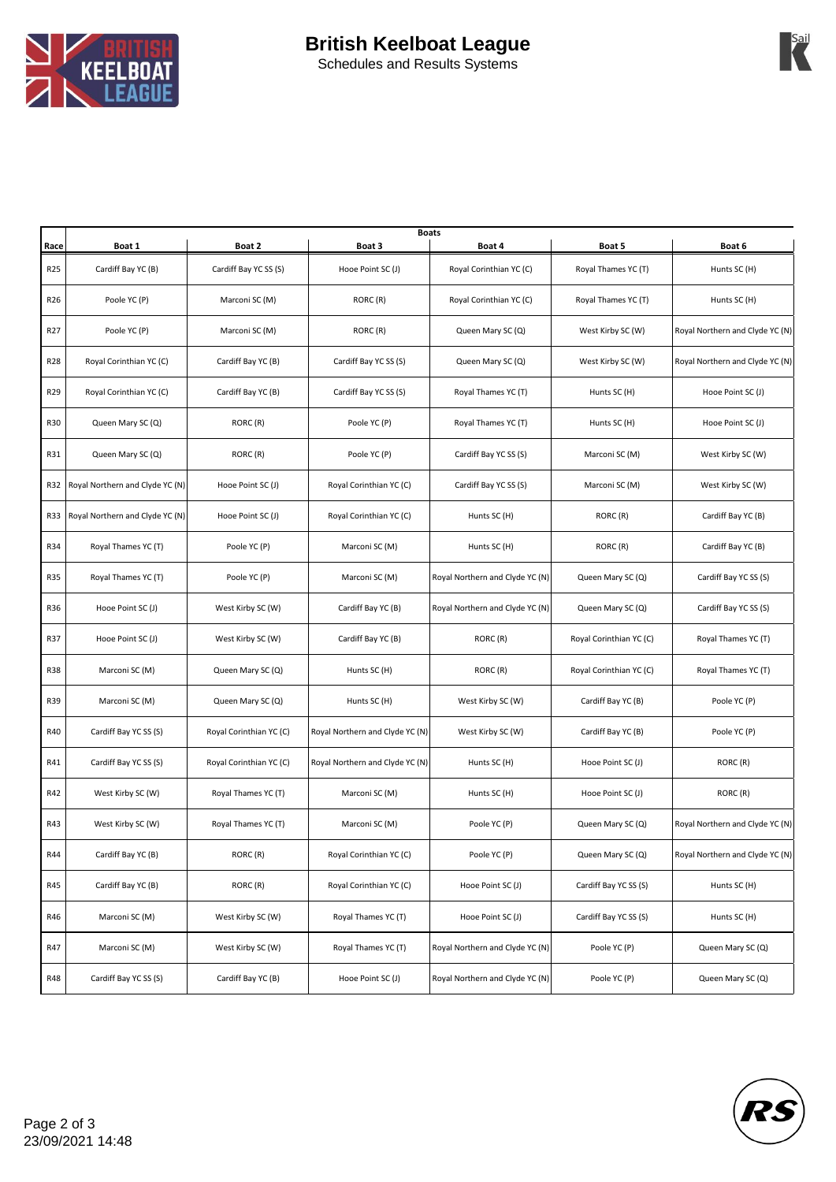

**Sail** 

| <b>Schedules and Results Systems</b> |  |  |
|--------------------------------------|--|--|

| Race            | Boat 1                              | Boat 2                  | <b>Boats</b><br>Boat 3          | Boat 4                          | Boat 5                  | Boat 6                          |
|-----------------|-------------------------------------|-------------------------|---------------------------------|---------------------------------|-------------------------|---------------------------------|
| R25             | Cardiff Bay YC (B)                  | Cardiff Bay YC SS (S)   | Hooe Point SC (J)               | Royal Corinthian YC (C)         | Royal Thames YC (T)     | Hunts SC (H)                    |
| R26             | Poole YC (P)                        | Marconi SC (M)          | RORC (R)                        | Royal Corinthian YC (C)         | Royal Thames YC (T)     | Hunts SC (H)                    |
| R <sub>27</sub> | Poole YC (P)                        | Marconi SC (M)          | RORC (R)                        | Queen Mary SC (Q)               | West Kirby SC (W)       | Royal Northern and Clyde YC (N) |
| R28             | Royal Corinthian YC (C)             | Cardiff Bay YC (B)      | Cardiff Bay YC SS (S)           | Queen Mary SC (Q)               | West Kirby SC (W)       | Royal Northern and Clyde YC (N) |
| R29             | Royal Corinthian YC (C)             | Cardiff Bay YC (B)      | Cardiff Bay YC SS (S)           | Royal Thames YC (T)             | Hunts SC (H)            | Hooe Point SC (J)               |
| R30             | Queen Mary SC (Q)                   | RORC (R)                | Poole YC (P)                    | Royal Thames YC (T)             | Hunts SC (H)            | Hooe Point SC (J)               |
| R31             | Queen Mary SC (Q)                   | RORC (R)                | Poole YC (P)                    | Cardiff Bay YC SS (S)           | Marconi SC (M)          | West Kirby SC (W)               |
| R32             | Royal Northern and Clyde YC (N)     | Hooe Point SC (J)       | Royal Corinthian YC (C)         | Cardiff Bay YC SS (S)           | Marconi SC (M)          | West Kirby SC (W)               |
|                 | R33 Royal Northern and Clyde YC (N) | Hooe Point SC (J)       | Royal Corinthian YC (C)         | Hunts SC (H)                    | RORC (R)                | Cardiff Bay YC (B)              |
| R34             | Royal Thames YC (T)                 | Poole YC (P)            | Marconi SC (M)                  | Hunts SC (H)                    | RORC (R)                | Cardiff Bay YC (B)              |
| R35             | Royal Thames YC (T)                 | Poole YC (P)            | Marconi SC (M)                  | Royal Northern and Clyde YC (N) | Queen Mary SC (Q)       | Cardiff Bay YC SS (S)           |
| R36             | Hooe Point SC (J)                   | West Kirby SC (W)       | Cardiff Bay YC (B)              | Royal Northern and Clyde YC (N) | Queen Mary SC (Q)       | Cardiff Bay YC SS (S)           |
| R37             | Hooe Point SC (J)                   | West Kirby SC (W)       | Cardiff Bay YC (B)              | RORC (R)                        | Royal Corinthian YC (C) | Royal Thames YC (T)             |
| <b>R38</b>      | Marconi SC (M)                      | Queen Mary SC (Q)       | Hunts SC (H)                    | RORC (R)                        | Royal Corinthian YC (C) | Royal Thames YC (T)             |
| R39             | Marconi SC (M)                      | Queen Mary SC (Q)       | Hunts SC (H)                    | West Kirby SC (W)               | Cardiff Bay YC (B)      | Poole YC (P)                    |
| R40             | Cardiff Bay YC SS (S)               | Royal Corinthian YC (C) | Royal Northern and Clyde YC (N) | West Kirby SC (W)               | Cardiff Bay YC (B)      | Poole YC (P)                    |
| R41             | Cardiff Bay YC SS (S)               | Royal Corinthian YC (C) | Royal Northern and Clyde YC (N) | Hunts SC (H)                    | Hooe Point SC (J)       | RORC(R)                         |
| R42             | West Kirby SC (W)                   | Royal Thames YC (T)     | Marconi SC (M)                  | Hunts SC (H)                    | Hooe Point SC (J)       | RORC (R)                        |
| R43             | West Kirby SC (W)                   | Royal Thames YC (T)     | Marconi SC (M)                  | Poole YC (P)                    | Queen Mary SC (Q)       | Royal Northern and Clyde YC (N) |
| R44             | Cardiff Bay YC (B)                  | RORC (R)                | Royal Corinthian YC (C)         | Poole YC (P)                    | Queen Mary SC (Q)       | Royal Northern and Clyde YC (N) |
| R45             | Cardiff Bay YC (B)                  | RORC (R)                | Royal Corinthian YC (C)         | Hooe Point SC (J)               | Cardiff Bay YC SS (S)   | Hunts SC (H)                    |
| R46             | Marconi SC (M)                      | West Kirby SC (W)       | Royal Thames YC (T)             | Hooe Point SC (J)               | Cardiff Bay YC SS (S)   | Hunts SC (H)                    |
| R47             | Marconi SC (M)                      | West Kirby SC (W)       | Royal Thames YC (T)             | Royal Northern and Clyde YC (N) | Poole YC (P)            | Queen Mary SC (Q)               |
| R48             | Cardiff Bay YC SS (S)               | Cardiff Bay YC (B)      | Hooe Point SC (J)               | Royal Northern and Clyde YC (N) | Poole YC (P)            | Queen Mary SC (Q)               |